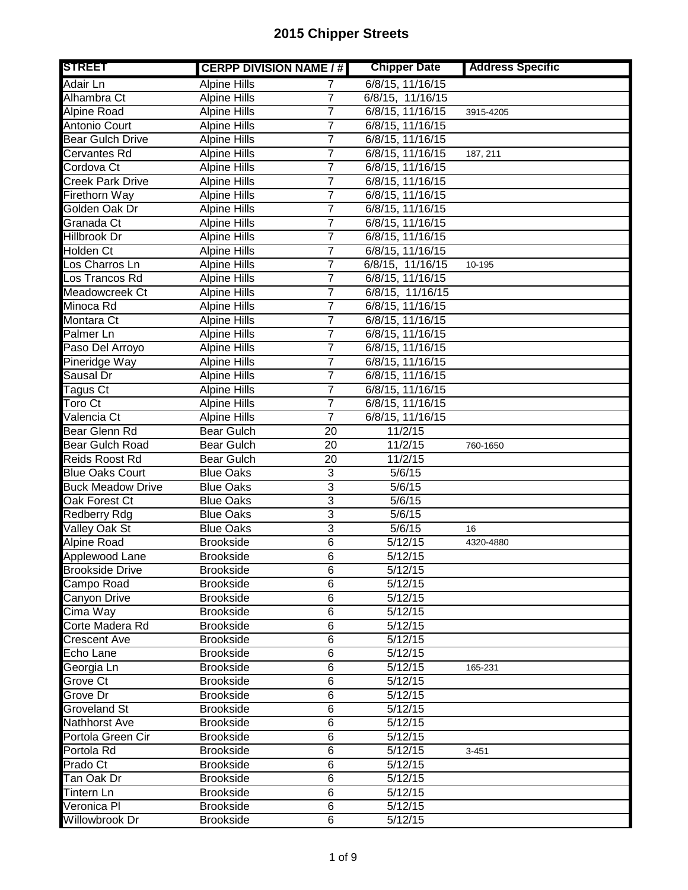| <b>STREET</b>                | <b>CERPP DIVISION NAME / #</b> |                | <b>Chipper Date</b>  | <b>Address Specific</b> |
|------------------------------|--------------------------------|----------------|----------------------|-------------------------|
| Adair Ln                     | <b>Alpine Hills</b>            | 7              | 6/8/15, 11/16/15     |                         |
| Alhambra Ct                  | <b>Alpine Hills</b>            | $\overline{7}$ | 6/8/15, 11/16/15     |                         |
| Alpine Road                  | <b>Alpine Hills</b>            | 7              | 6/8/15, 11/16/15     | 3915-4205               |
| Antonio Court                | <b>Alpine Hills</b>            | $\overline{7}$ | 6/8/15, 11/16/15     |                         |
| <b>Bear Gulch Drive</b>      | <b>Alpine Hills</b>            | $\overline{7}$ | 6/8/15, 11/16/15     |                         |
| <b>Cervantes Rd</b>          | <b>Alpine Hills</b>            | 7              | 6/8/15, 11/16/15     | 187, 211                |
| Cordova Ct                   | <b>Alpine Hills</b>            | 7              | 6/8/15, 11/16/15     |                         |
| <b>Creek Park Drive</b>      | <b>Alpine Hills</b>            | 7              | 6/8/15, 11/16/15     |                         |
| Firethorn Way                | <b>Alpine Hills</b>            | 7              | 6/8/15, 11/16/15     |                         |
| Golden Oak Dr                | <b>Alpine Hills</b>            | 7              | 6/8/15, 11/16/15     |                         |
| Granada Ct                   | <b>Alpine Hills</b>            | 7              | 6/8/15, 11/16/15     |                         |
| Hillbrook Dr                 | <b>Alpine Hills</b>            | 7              | 6/8/15, 11/16/15     |                         |
| Holden Ct                    | <b>Alpine Hills</b>            | 7              | 6/8/15, 11/16/15     |                         |
| Los Charros Ln               | <b>Alpine Hills</b>            | 7              | 6/8/15, 11/16/15     | $\overline{10} - 195$   |
| Los Trancos Rd               | <b>Alpine Hills</b>            | $\overline{7}$ | 6/8/15, 11/16/15     |                         |
| Meadowcreek Ct               | <b>Alpine Hills</b>            | 7              | 6/8/15, 11/16/15     |                         |
| Minoca Rd                    | <b>Alpine Hills</b>            | 7              | 6/8/15, 11/16/15     |                         |
| Montara Ct                   | <b>Alpine Hills</b>            | 7              | 6/8/15, 11/16/15     |                         |
| Palmer Ln                    | <b>Alpine Hills</b>            | $\overline{7}$ | 6/8/15, 11/16/15     |                         |
| Paso Del Arroyo              | <b>Alpine Hills</b>            | 7              | 6/8/15, 11/16/15     |                         |
| Pineridge Way                | <b>Alpine Hills</b>            | $\overline{7}$ | 6/8/15, 11/16/15     |                         |
| Sausal Dr                    | <b>Alpine Hills</b>            | 7              | 6/8/15, 11/16/15     |                         |
| Tagus $\overline{\text{Ct}}$ | <b>Alpine Hills</b>            | $\overline{7}$ | 6/8/15, 11/16/15     |                         |
| Toro Ct                      | <b>Alpine Hills</b>            | $\overline{7}$ | 6/8/15, 11/16/15     |                         |
| Valencia Ct                  | <b>Alpine Hills</b>            | 7              | 6/8/15, 11/16/15     |                         |
| Bear Glenn Rd                | <b>Bear Gulch</b>              | 20             | 11/2/15              |                         |
| <b>Bear Gulch Road</b>       | <b>Bear Gulch</b>              | 20             | 11/2/15              | 760-1650                |
| Reids Roost Rd               | <b>Bear Gulch</b>              | 20             | 11/2/15              |                         |
| <b>Blue Oaks Court</b>       | <b>Blue Oaks</b>               | 3              | 5/6/15               |                         |
| <b>Buck Meadow Drive</b>     | <b>Blue Oaks</b>               | 3              | 5/6/15               |                         |
| Oak Forest Ct                | <b>Blue Oaks</b>               | 3              | 5/6/15               |                         |
| Redberry Rdg                 | <b>Blue Oaks</b>               | $\overline{3}$ | 5/6/15               |                         |
| Valley Oak St                | <b>Blue Oaks</b>               | 3              | 5/6/15               | 16                      |
| <b>Alpine Road</b>           | <b>Brookside</b>               | 6              | 5/12/15              | 4320-4880               |
| Applewood Lane               | <b>Brookside</b>               | $\overline{6}$ | 5/12/15              |                         |
| <b>Brookside Drive</b>       | <b>Brookside</b>               | 6              | 5/12/15              |                         |
| Campo Road                   | <b>Brookside</b>               | $\overline{6}$ | 5/12/15              |                         |
| Canyon Drive                 | <b>Brookside</b>               | $\overline{6}$ | 5/12/15              |                         |
| Cima Way                     | <b>Brookside</b>               | 6              | 5/12/15              |                         |
| Corte Madera Rd              | <b>Brookside</b>               | $\overline{6}$ | 5/12/15              |                         |
| <b>Crescent Ave</b>          | <b>Brookside</b>               | $\,6$          | 5/12/15              |                         |
| Echo Lane                    | <b>Brookside</b>               | 6              | 5/12/15              |                         |
| Georgia Ln                   | <b>Brookside</b>               | $\overline{6}$ | 5/12/15              | 165-231                 |
| Grove Ct                     | <b>Brookside</b>               | 6              | 5/12/15              |                         |
| Grove Dr                     | <b>Brookside</b>               | $\,6$          | 5/12/15              |                         |
| <b>Groveland St</b>          | <b>Brookside</b>               | 6              | 5/12/15              |                         |
| Nathhorst Ave                | <b>Brookside</b>               | 6              | 5/12/15              |                         |
| Portola Green Cir            | <b>Brookside</b>               | $\,6$          | 5/12/15              |                         |
| Portola Rd                   | <b>Brookside</b>               | 6              | 5/12/15              | $3 - 451$               |
| Prado Ct                     | <b>Brookside</b>               | $\,6$          | $\frac{1}{5}{12}/15$ |                         |
| Tan Oak Dr                   | <b>Brookside</b>               | $\overline{6}$ | 5/12/15              |                         |
| Tintern Ln                   | <b>Brookside</b>               | 6              | 5/12/15              |                         |
| Veronica Pl                  | <b>Brookside</b>               | $\overline{6}$ | 5/12/15              |                         |
| Willowbrook Dr               | <b>Brookside</b>               | 6              | 5/12/15              |                         |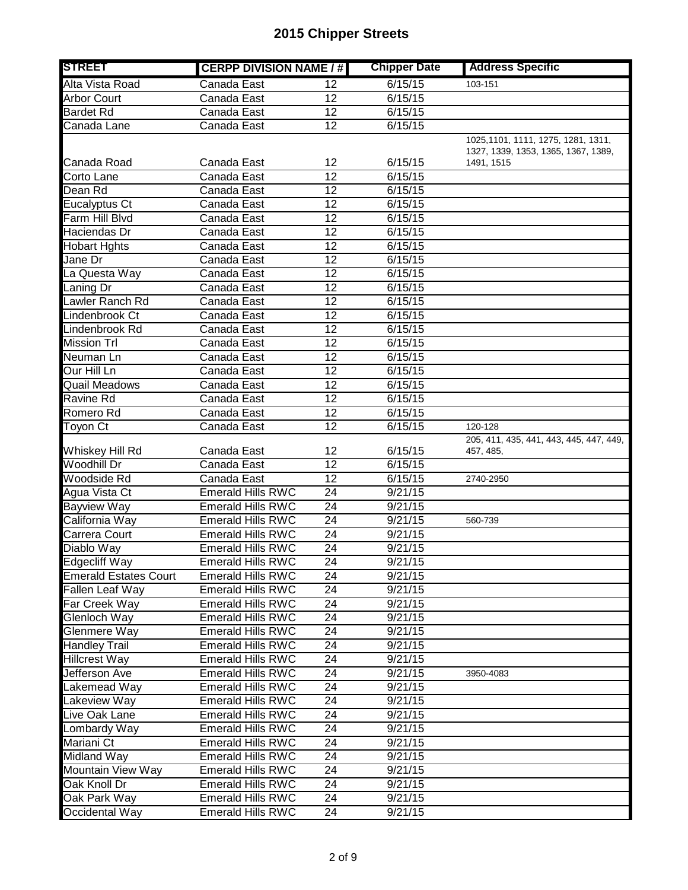| <b>STREET</b>                | <b>CERPP DIVISION NAME / #</b> |                 | <b>Chipper Date</b> | <b>Address Specific</b>                                                   |
|------------------------------|--------------------------------|-----------------|---------------------|---------------------------------------------------------------------------|
| Alta Vista Road              | Canada East                    | 12              | 6/15/15             | 103-151                                                                   |
| <b>Arbor Court</b>           | Canada East                    | $\overline{12}$ | 6/15/15             |                                                                           |
| <b>Bardet Rd</b>             | Canada East                    | $\overline{12}$ | 6/15/15             |                                                                           |
| Canada Lane                  | Canada East                    | 12              | 6/15/15             |                                                                           |
|                              |                                |                 |                     | 1025,1101, 1111, 1275, 1281, 1311,<br>1327, 1339, 1353, 1365, 1367, 1389, |
| Canada Road                  | Canada East                    | 12              | 6/15/15             | 1491, 1515                                                                |
| Corto Lane                   | Canada East                    | 12              | 6/15/15             |                                                                           |
| Dean Rd                      | Canada East                    | 12              | 6/15/15             |                                                                           |
| <b>Eucalyptus Ct</b>         | Canada East                    | 12              | 6/15/15             |                                                                           |
| Farm Hill Blvd               | Canada East                    | 12              | 6/15/15             |                                                                           |
| Haciendas Dr                 | Canada East                    | 12              | 6/15/15             |                                                                           |
| <b>Hobart Hghts</b>          | Canada East                    | 12              | 6/15/15             |                                                                           |
| Jane Dr                      | Canada East                    | $\overline{12}$ | 6/15/15             |                                                                           |
| La Questa Way                | Canada East                    | $\overline{12}$ | 6/15/15             |                                                                           |
| Laning Dr                    | Canada East                    | $\overline{12}$ | 6/15/15             |                                                                           |
| Lawler Ranch Rd              | Canada East                    | 12              | 6/15/15             |                                                                           |
| Lindenbrook Ct               | Canada East                    | $\overline{12}$ | 6/15/15             |                                                                           |
| Lindenbrook Rd               | Canada East                    | $\overline{12}$ | 6/15/15             |                                                                           |
| <b>Mission Trl</b>           | Canada East                    | $\overline{12}$ | 6/15/15             |                                                                           |
| Neuman Ln                    | Canada East                    | 12              | 6/15/15             |                                                                           |
| Our Hill Ln                  | Canada East                    | $\overline{12}$ | 6/15/15             |                                                                           |
| <b>Quail Meadows</b>         | Canada East                    | $\overline{12}$ | 6/15/15             |                                                                           |
| Ravine Rd                    | Canada East                    | 12              | 6/15/15             |                                                                           |
| Romero Rd                    | Canada East                    | 12              | 6/15/15             |                                                                           |
| Toyon Ct                     | Canada East                    | $\overline{12}$ | 6/15/15             | 120-128                                                                   |
| Whiskey Hill Rd              | Canada East                    | 12              | 6/15/15             | 205, 411, 435, 441, 443, 445, 447, 449,<br>457, 485,                      |
| <b>Woodhill Dr</b>           | Canada East                    | 12              | 6/15/15             |                                                                           |
| Woodside Rd                  | Canada East                    | $\overline{12}$ | 6/15/15             | 2740-2950                                                                 |
| Agua Vista Ct                | <b>Emerald Hills RWC</b>       | 24              | 9/21/15             |                                                                           |
| <b>Bayview Way</b>           | <b>Emerald Hills RWC</b>       | 24              | 9/21/15             |                                                                           |
| California Way               | <b>Emerald Hills RWC</b>       | 24              | 9/21/15             | 560-739                                                                   |
| Carrera Court                | <b>Emerald Hills RWC</b>       | 24              | 9/21/15             |                                                                           |
| Diablo Way                   | <b>Emerald Hills RWC</b>       | 24              | 9/21/15             |                                                                           |
| Edgecliff Way                | <b>Emerald Hills RWC</b>       | $\overline{24}$ | 9/21/15             |                                                                           |
| <b>Emerald Estates Court</b> | <b>Emerald Hills RWC</b>       | 24              | 9/21/15             |                                                                           |
| Fallen Leaf Way              | <b>Emerald Hills RWC</b>       | 24              | 9/21/15             |                                                                           |
| Far Creek Way                | <b>Emerald Hills RWC</b>       | 24              | 9/21/15             |                                                                           |
| Glenloch Way                 | <b>Emerald Hills RWC</b>       | 24              | 9/21/15             |                                                                           |
| Glenmere Way                 | <b>Emerald Hills RWC</b>       | 24              | 9/21/15             |                                                                           |
| <b>Handley Trail</b>         | <b>Emerald Hills RWC</b>       | 24              | 9/21/15             |                                                                           |
| <b>Hillcrest Way</b>         | <b>Emerald Hills RWC</b>       | $\overline{24}$ | 9/21/15             |                                                                           |
| Jefferson Ave                | <b>Emerald Hills RWC</b>       | 24              | 9/21/15             | 3950-4083                                                                 |
| Lakemead Way                 | <b>Emerald Hills RWC</b>       | 24              | 9/21/15             |                                                                           |
| Lakeview Way                 | Emerald Hills RWC              | 24              | 9/21/15             |                                                                           |
| Live Oak Lane                | <b>Emerald Hills RWC</b>       | 24              | 9/21/15             |                                                                           |
| Lombardy Way                 | <b>Emerald Hills RWC</b>       | 24              | 9/21/15             |                                                                           |
| Mariani Ct                   | <b>Emerald Hills RWC</b>       | 24              | 9/21/15             |                                                                           |
| Midland Way                  | <b>Emerald Hills RWC</b>       | 24              | 9/21/15             |                                                                           |
| Mountain View Way            | <b>Emerald Hills RWC</b>       | 24              | 9/21/15             |                                                                           |
| Oak Knoll Dr                 | <b>Emerald Hills RWC</b>       | 24              | 9/21/15             |                                                                           |
| Oak Park Way                 | <b>Emerald Hills RWC</b>       | $\overline{24}$ | 9/21/15             |                                                                           |
| Occidental Way               | <b>Emerald Hills RWC</b>       | 24              | 9/21/15             |                                                                           |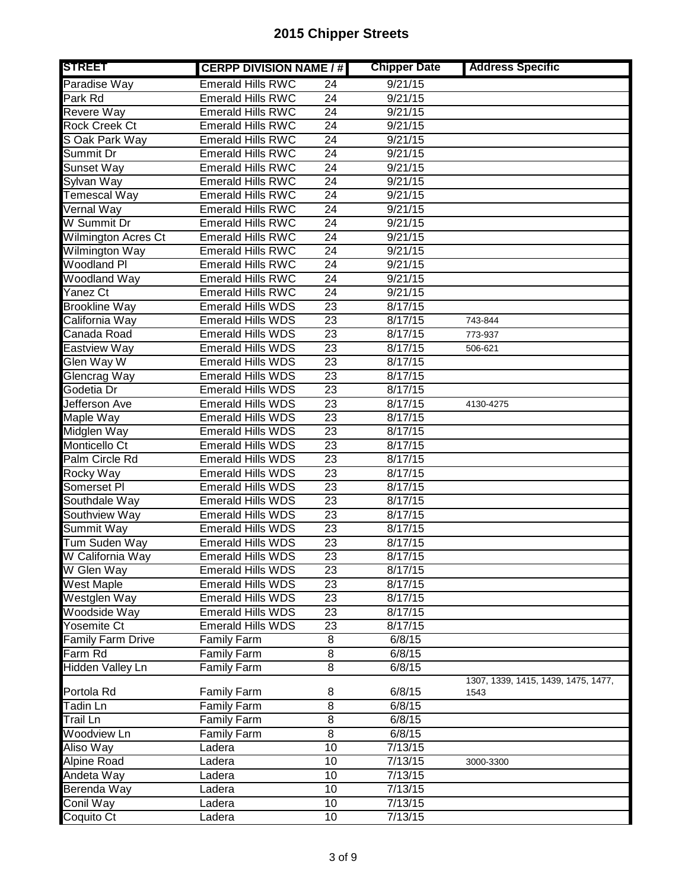| <b>STREET</b>              | <b>CERPP DIVISION NAME / #</b> |                 | <b>Chipper Date</b> | <b>Address Specific</b>             |
|----------------------------|--------------------------------|-----------------|---------------------|-------------------------------------|
| Paradise Way               | <b>Emerald Hills RWC</b>       | 24              | 9/21/15             |                                     |
| Park Rd                    | <b>Emerald Hills RWC</b>       | $\overline{24}$ | 9/21/15             |                                     |
| Revere Way                 | <b>Emerald Hills RWC</b>       | $\overline{24}$ | 9/21/15             |                                     |
| <b>Rock Creek Ct</b>       | <b>Emerald Hills RWC</b>       | $\overline{24}$ | 9/21/15             |                                     |
| S Oak Park Way             | <b>Emerald Hills RWC</b>       | 24              | 9/21/15             |                                     |
| Summit Dr                  | <b>Emerald Hills RWC</b>       | $\overline{24}$ | 9/21/15             |                                     |
| Sunset Way                 | <b>Emerald Hills RWC</b>       | 24              | 9/21/15             |                                     |
| Sylvan Way                 | <b>Emerald Hills RWC</b>       | 24              | 9/21/15             |                                     |
| <b>Temescal Way</b>        | <b>Emerald Hills RWC</b>       | 24              | 9/21/15             |                                     |
| <b>Vernal Way</b>          | <b>Emerald Hills RWC</b>       | $\overline{24}$ | 9/21/15             |                                     |
| W Summit Dr                | <b>Emerald Hills RWC</b>       | 24              | 9/21/15             |                                     |
| <b>Wilmington Acres Ct</b> | <b>Emerald Hills RWC</b>       | $\overline{24}$ | 9/21/15             |                                     |
| Wilmington Way             | <b>Emerald Hills RWC</b>       | $\overline{24}$ | 9/21/15             |                                     |
| <b>Woodland PI</b>         | <b>Emerald Hills RWC</b>       | $\overline{24}$ | 9/21/15             |                                     |
| Woodland Way               | <b>Emerald Hills RWC</b>       | $\overline{24}$ | 9/21/15             |                                     |
| Yanez Ct                   | <b>Emerald Hills RWC</b>       | $\overline{24}$ | 9/21/15             |                                     |
| <b>Brookline Way</b>       | <b>Emerald Hills WDS</b>       | 23              | 8/17/15             |                                     |
| California Way             | <b>Emerald Hills WDS</b>       | $\overline{23}$ | 8/17/15             | 743-844                             |
| Canada Road                | <b>Emerald Hills WDS</b>       | $\overline{23}$ | 8/17/15             | 773-937                             |
| Eastview Way               | <b>Emerald Hills WDS</b>       | $\overline{23}$ | 8/17/15             | 506-621                             |
| Glen Way W                 | <b>Emerald Hills WDS</b>       | 23              | 8/17/15             |                                     |
| Glencrag Way               | <b>Emerald Hills WDS</b>       | 23              | 8/17/15             |                                     |
| Godetia Dr                 | <b>Emerald Hills WDS</b>       | 23              | 8/17/15             |                                     |
| Jefferson Ave              | <b>Emerald Hills WDS</b>       | 23              | 8/17/15             | 4130-4275                           |
| Maple Way                  | <b>Emerald Hills WDS</b>       | 23              | 8/17/15             |                                     |
| Midglen Way                | <b>Emerald Hills WDS</b>       | 23              | 8/17/15             |                                     |
| Monticello Ct              | <b>Emerald Hills WDS</b>       | 23              | 8/17/15             |                                     |
| Palm Circle Rd             | <b>Emerald Hills WDS</b>       | 23              | 8/17/15             |                                     |
| Rocky Way                  | <b>Emerald Hills WDS</b>       | 23              | 8/17/15             |                                     |
| Somerset PI                | <b>Emerald Hills WDS</b>       | 23              | 8/17/15             |                                     |
| Southdale Way              | <b>Emerald Hills WDS</b>       | $\overline{23}$ | 8/17/15             |                                     |
| Southview Way              | Emerald Hills WDS              | 23              | 8/17/15             |                                     |
| Summit Way                 | <b>Emerald Hills WDS</b>       | 23              | 8/17/15             |                                     |
| Tum Suden Way              | <b>Emerald Hills WDS</b>       | 23              | 8/17/15             |                                     |
| W California Way           | Emerald Hills WDS              | $\overline{23}$ | 8/17/15             |                                     |
| W Glen Way                 | <b>Emerald Hills WDS</b>       | 23              | 8/17/15             |                                     |
| West Maple                 | <b>Emerald Hills WDS</b>       | 23              | 8/17/15             |                                     |
| Westglen Way               | <b>Emerald Hills WDS</b>       | 23              | 8/17/15             |                                     |
| Woodside Way               | <b>Emerald Hills WDS</b>       | 23              | 8/17/15             |                                     |
| Yosemite Ct                | Emerald Hills WDS              | 23              | 8/17/15             |                                     |
| <b>Family Farm Drive</b>   | Family Farm                    | 8               | 6/8/15              |                                     |
| Farm Rd                    | Family Farm                    | 8               | 6/8/15              |                                     |
| <b>Hidden Valley Ln</b>    | <b>Family Farm</b>             | $\overline{8}$  | 6/8/15              |                                     |
|                            |                                |                 |                     | 1307, 1339, 1415, 1439, 1475, 1477, |
| Portola Rd                 | <b>Family Farm</b>             | 8               | 6/8/15              | 1543                                |
| Tadin Ln                   | Family Farm                    | $\overline{8}$  | 6/8/15              |                                     |
| Trail Ln                   | Family Farm                    | $\overline{8}$  | 6/8/15              |                                     |
| Woodview Ln                | <b>Family Farm</b>             | $\overline{8}$  | 6/8/15              |                                     |
| Aliso Way                  | Ladera                         | $\overline{10}$ | 7/13/15             |                                     |
| Alpine Road                | Ladera                         | 10              | 7/13/15             | 3000-3300                           |
| Andeta Way                 | Ladera                         | 10              | 7/13/15             |                                     |
| Berenda Way                | Ladera                         | 10              | 7/13/15             |                                     |
| Conil Way                  | Ladera                         | 10              | 7/13/15             |                                     |
| Coquito Ct                 | Ladera                         | 10              | 7/13/15             |                                     |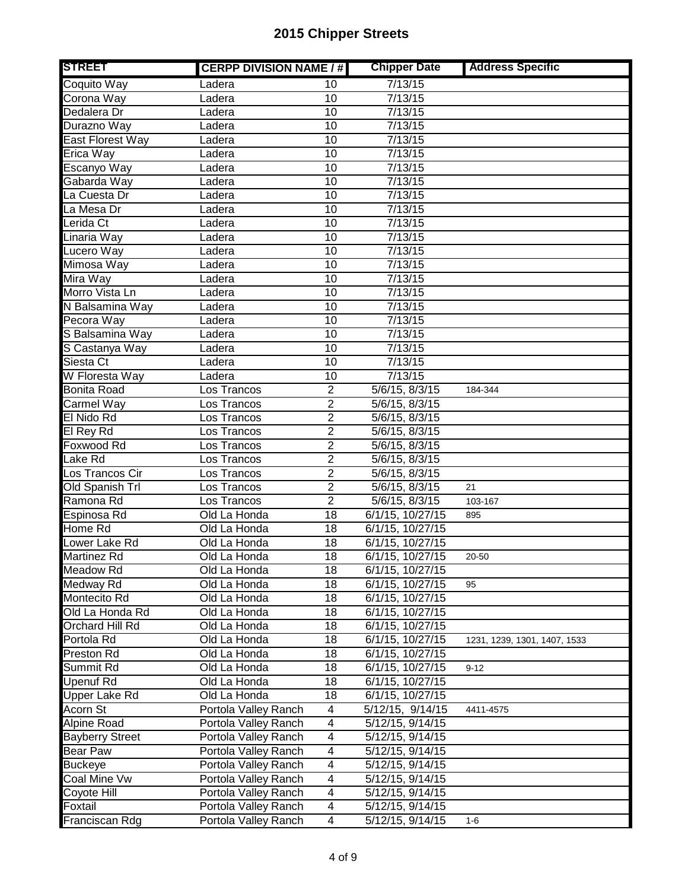| <b>STREET</b>          | <b>CERPP DIVISION NAME / #</b> |                         | <b>Chipper Date</b>              | <b>Address Specific</b>      |
|------------------------|--------------------------------|-------------------------|----------------------------------|------------------------------|
| Coquito Way            | Ladera                         | 10                      | 7/13/15                          |                              |
| Corona Way             | Ladera                         | 10                      | 7/13/15                          |                              |
| Dedalera Dr            | Ladera                         | $\overline{10}$         | 7/13/15                          |                              |
| Durazno Way            | Ladera                         | 10                      | 7/13/15                          |                              |
| East Florest Way       | Ladera                         | 10                      | 7/13/15                          |                              |
| Erica Way              | Ladera                         | 10                      | 7/13/15                          |                              |
| Escanyo Way            | Ladera                         | 10                      | 7/13/15                          |                              |
| Gabarda Way            | Ladera                         | 10                      | 7/13/15                          |                              |
| La Cuesta Dr           | Ladera                         | 10                      | 7/13/15                          |                              |
| La Mesa Dr             | Ladera                         | 10                      | 7/13/15                          |                              |
| Lerida Ct              | Ladera                         | 10                      | 7/13/15                          |                              |
| Linaria Way            | Ladera                         | 10                      | 7/13/15                          |                              |
| Lucero Way             | Ladera                         | 10                      | 7/13/15                          |                              |
| Mimosa Way             | Ladera                         | 10                      | 7/13/15                          |                              |
| Mira Way               | Ladera                         | 10                      | 7/13/15                          |                              |
| Morro Vista Ln         | Ladera                         | 10                      | 7/13/15                          |                              |
| N Balsamina Way        | Ladera                         | $\overline{10}$         | 7/13/15                          |                              |
| Pecora Way             | Ladera                         | 10                      | 7/13/15                          |                              |
| S Balsamina Way        | Ladera                         | $\overline{10}$         | 7/13/15                          |                              |
| S Castanya Way         | Ladera                         | 10                      | 7/13/15                          |                              |
| Siesta Ct              | Ladera                         | 10                      | 7/13/15                          |                              |
| W Floresta Way         | Ladera                         | 10                      | 7/13/15                          |                              |
| <b>Bonita Road</b>     | Los Trancos                    | $\overline{2}$          | 5/6/15, 8/3/15                   | 184-344                      |
| Carmel Way             | Los Trancos                    | $\overline{2}$          | 5/6/15, 8/3/15                   |                              |
| El Nido Rd             | Los Trancos                    | $\overline{2}$          | 5/6/15, 8/3/15                   |                              |
| El Rey Rd              | Los Trancos                    | 2                       | 5/6/15, 8/3/15                   |                              |
| Foxwood Rd             | Los Trancos                    | $\overline{2}$          | 5/6/15, 8/3/15                   |                              |
| Lake Rd                | Los Trancos                    | 2                       | 5/6/15, 8/3/15                   |                              |
| Los Trancos Cir        | Los Trancos                    | 2                       | 5/6/15, 8/3/15                   |                              |
| Old Spanish Trl        | Los Trancos                    | $\overline{2}$          | 5/6/15, 8/3/15                   | 21                           |
| Ramona Rd              | Los Trancos                    | 2                       | 5/6/15, 8/3/15                   | 103-167                      |
| Espinosa Rd            | Old La Honda                   | 18                      | 6/1/15, 10/27/15                 | 895                          |
| Home Rd                | Old La Honda                   | 18                      | 6/1/15, 10/27/15                 |                              |
| Lower Lake Rd          | Old La Honda                   | 18                      | 6/1/15, 10/27/15                 |                              |
| <b>Martinez Rd</b>     | Old La Honda                   | 18                      | 6/1/15, 10/27/15                 | 20-50                        |
| Meadow Rd              | Old La Honda                   | 18                      | 6/1/15, 10/27/15                 |                              |
| Medway Rd              | Old La Honda                   | 18                      | 6/1/15, 10/27/15                 | 95                           |
| Montecito Rd           | Old La Honda                   | 18                      | 6/1/15, 10/27/15                 |                              |
| Old La Honda Rd        | Old La Honda                   | 18                      | 6/1/15, 10/27/15                 |                              |
| Orchard Hill Rd        | Old La Honda                   | 18                      | $6/1/15$ , $10/27/\overline{15}$ |                              |
| Portola Rd             | Old La Honda                   | 18                      | $6/1/15$ , $10/27/\overline{15}$ | 1231, 1239, 1301, 1407, 1533 |
| Preston Rd             | Old La Honda                   | 18                      | 6/1/15, 10/27/15                 |                              |
| Summit Rd              | Old La Honda                   | 18                      | 6/1/15, 10/27/15                 | $9 - 12$                     |
| <b>Upenuf Rd</b>       | Old La Honda                   | 18                      | 6/1/15, 10/27/15                 |                              |
| <b>Upper Lake Rd</b>   | Old La Honda                   | 18                      | 6/1/15, 10/27/15                 |                              |
| Acorn St               | Portola Valley Ranch           | $\overline{\mathbf{4}}$ | 5/12/15, 9/14/15                 | 4411-4575                    |
| Alpine Road            | Portola Valley Ranch           | 4                       | 5/12/15, 9/14/15                 |                              |
| <b>Bayberry Street</b> | Portola Valley Ranch           | $\overline{4}$          | 5/12/15, 9/14/15                 |                              |
| Bear Paw               | Portola Valley Ranch           | $\overline{4}$          | 5/12/15, 9/14/15                 |                              |
| <b>Buckeye</b>         | Portola Valley Ranch           | $\overline{4}$          | 5/12/15, 9/14/15                 |                              |
| Coal Mine Vw           | Portola Valley Ranch           | $\overline{\mathbf{4}}$ | 5/12/15, 9/14/15                 |                              |
| Coyote Hill            | Portola Valley Ranch           | $\overline{4}$          | 5/12/15, 9/14/15                 |                              |
| Foxtail                | Portola Valley Ranch           | 4                       | 5/12/15, 9/14/15                 |                              |
| Franciscan Rdg         | Portola Valley Ranch           | $\overline{4}$          |                                  |                              |
|                        |                                |                         | 5/12/15, 9/14/15                 | $1 - 6$                      |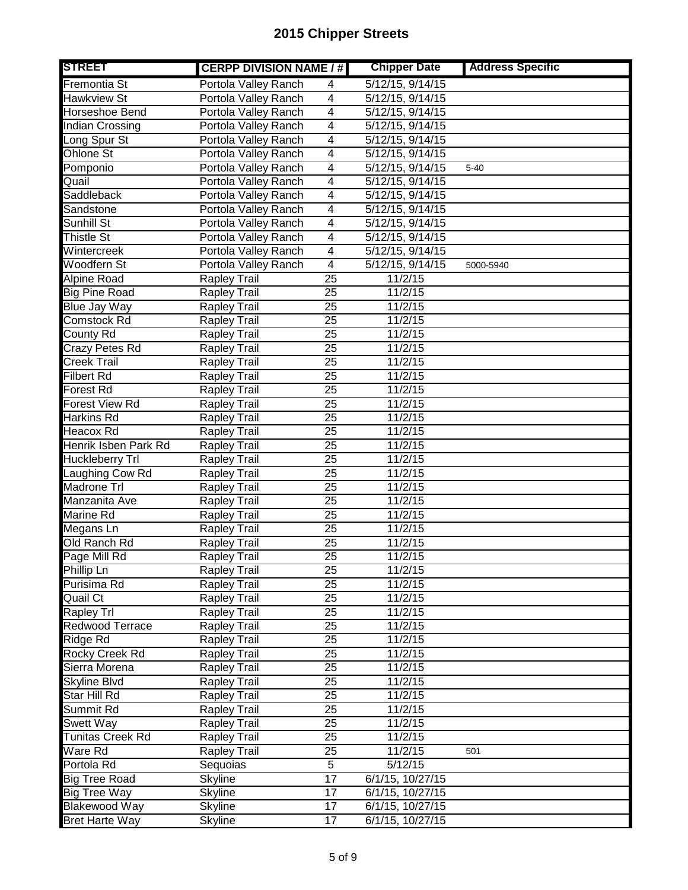| <b>STREET</b>           | <b>CERPP DIVISION NAME / #</b> |                 | <b>Chipper Date</b>            | <b>Address Specific</b> |
|-------------------------|--------------------------------|-----------------|--------------------------------|-------------------------|
| Fremontia St            | Portola Valley Ranch           | 4               | 5/12/15, 9/14/15               |                         |
| Hawkview St             | Portola Valley Ranch           | $\overline{4}$  | 5/12/15, 9/14/15               |                         |
| Horseshoe Bend          | Portola Valley Ranch           | 4               | 5/12/15, 9/14/15               |                         |
| <b>Indian Crossing</b>  | Portola Valley Ranch           | 4               | 5/12/15, 9/14/15               |                         |
| Long Spur St            | Portola Valley Ranch           | 4               | 5/12/15, 9/14/15               |                         |
| <b>Ohlone St</b>        | Portola Valley Ranch           | $\overline{4}$  | 5/12/15, 9/14/15               |                         |
| Pomponio                | Portola Valley Ranch           | 4               | 5/12/15, 9/14/15               | $5 - 40$                |
| Quail                   | Portola Valley Ranch           | 4               | 5/12/15, 9/14/15               |                         |
| Saddleback              | Portola Valley Ranch           | 4               | 5/12/15, 9/14/15               |                         |
| Sandstone               | Portola Valley Ranch           | 4               | 5/12/15, 9/14/15               |                         |
| Sunhill St              | Portola Valley Ranch           | 4               | $\overline{5/12}/15$ , 9/14/15 |                         |
| <b>Thistle St</b>       | Portola Valley Ranch           | 4               | 5/12/15, 9/14/15               |                         |
| Wintercreek             | Portola Valley Ranch           | 4               | 5/12/15, 9/14/15               |                         |
| <b>Woodfern St</b>      | Portola Valley Ranch           | $\overline{4}$  | 5/12/15, 9/14/15               | 5000-5940               |
| <b>Alpine Road</b>      | <b>Rapley Trail</b>            | $\overline{25}$ | 11/2/15                        |                         |
| <b>Big Pine Road</b>    | <b>Rapley Trail</b>            | $\overline{25}$ | 11/2/15                        |                         |
| <b>Blue Jay Way</b>     | <b>Rapley Trail</b>            | 25              | 11/2/15                        |                         |
| Comstock Rd             | <b>Rapley Trail</b>            | $\overline{25}$ | 11/2/15                        |                         |
| County Rd               | <b>Rapley Trail</b>            | 25              | 11/2/15                        |                         |
| Crazy Petes Rd          | <b>Rapley Trail</b>            | 25              | 11/2/15                        |                         |
| <b>Creek Trail</b>      | <b>Rapley Trail</b>            | 25              | 11/2/15                        |                         |
| <b>Filbert Rd</b>       | <b>Rapley Trail</b>            | 25              | 11/2/15                        |                         |
| Forest Rd               | <b>Rapley Trail</b>            | 25              | 11/2/15                        |                         |
| <b>Forest View Rd</b>   | Rapley Trail                   | 25              | 11/2/15                        |                         |
| <b>Harkins Rd</b>       | <b>Rapley Trail</b>            | 25              | 11/2/15                        |                         |
| <b>Heacox Rd</b>        | <b>Rapley Trail</b>            | 25              | 11/2/15                        |                         |
| Henrik Isben Park Rd    | Rapley Trail                   | 25              | 11/2/15                        |                         |
| Huckleberry Trl         | <b>Rapley Trail</b>            | 25              | 11/2/15                        |                         |
| Laughing Cow Rd         | <b>Rapley Trail</b>            | 25              | 11/2/15                        |                         |
| Madrone Trl             | Rapley Trail                   | 25              | 11/2/15                        |                         |
| Manzanita Ave           | <b>Rapley Trail</b>            | 25              | 11/2/15                        |                         |
| Marine Rd               | <b>Rapley Trail</b>            | 25              | 11/2/15                        |                         |
| Megans Ln               | <b>Rapley Trail</b>            | 25              | 11/2/15                        |                         |
| Old Ranch Rd            | Rapley Trail                   | 25              | 11/2/15                        |                         |
| Page Mill Rd            | <b>Rapley Trail</b>            | 25              | 11/2/15                        |                         |
| Phillip Ln              | Rapley Trail                   | 25              | 11/2/15                        |                         |
| Purisima Rd             | <b>Rapley Trail</b>            | 25              | 11/2/15                        |                         |
| Quail Ct                | <b>Rapley Trail</b>            | 25              | 11/2/15                        |                         |
| <b>Rapley Trl</b>       | Rapley Trail                   | 25              | 11/2/15                        |                         |
| Redwood Terrace         | Rapley Trail                   | 25              | 11/2/15                        |                         |
| <b>Ridge Rd</b>         | Rapley Trail                   | 25              | 11/2/15                        |                         |
| <b>Rocky Creek Rd</b>   | Rapley Trail                   | 25              | 11/2/15                        |                         |
| Sierra Morena           | Rapley Trail                   | 25              | 11/2/15                        |                         |
| <b>Skyline Blvd</b>     | <b>Rapley Trail</b>            | 25              | 11/2/15                        |                         |
| Star Hill Rd            | Rapley Trail                   | 25              | 11/2/15                        |                         |
| Summit Rd               | <b>Rapley Trail</b>            | 25              | 11/2/15                        |                         |
| Swett Way               | Rapley Trail                   | 25              | 11/2/15                        |                         |
| <b>Tunitas Creek Rd</b> | Rapley Trail                   | 25              | 11/2/15                        |                         |
| Ware Rd                 | <b>Rapley Trail</b>            | 25              | 11/2/15                        | 501                     |
| Portola Rd              | Sequoias                       | 5               | 5/12/15                        |                         |
| <b>Big Tree Road</b>    | <b>Skyline</b>                 | 17              | 6/1/15, 10/27/15               |                         |
| Big Tree Way            | <b>Skyline</b>                 | $\overline{17}$ | 6/1/15, 10/27/15               |                         |
| <b>Blakewood Way</b>    | <b>Skyline</b>                 | 17              | 6/1/15, 10/27/15               |                         |
| <b>Bret Harte Way</b>   | <b>Skyline</b>                 | 17              | 6/1/15, 10/27/15               |                         |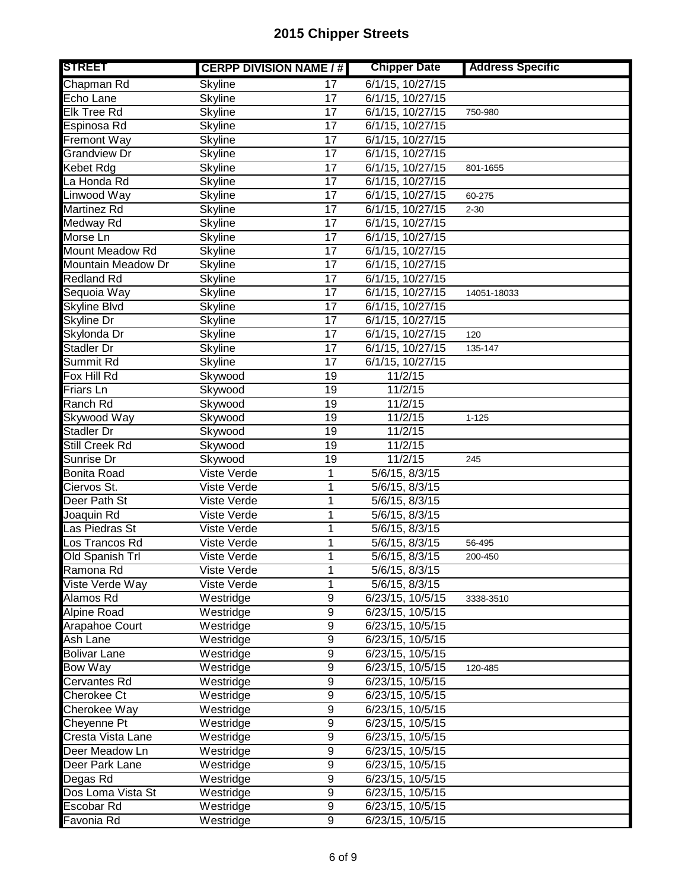| <b>STREET</b>       | <b>CERPP DIVISION NAME / #</b> |                 | <b>Chipper Date</b>   | <b>Address Specific</b> |
|---------------------|--------------------------------|-----------------|-----------------------|-------------------------|
| Chapman Rd          | <b>Skyline</b>                 | 17              | 6/1/15, 10/27/15      |                         |
| Echo Lane           | <b>Skyline</b>                 | $\overline{17}$ | 6/1/15, 10/27/15      |                         |
| <b>Elk Tree Rd</b>  | <b>Skyline</b>                 | $\overline{17}$ | 6/1/15, 10/27/15      | 750-980                 |
| Espinosa Rd         | <b>Skyline</b>                 | $\overline{17}$ | $6/1/15$ , $10/27/15$ |                         |
| <b>Fremont Way</b>  | <b>Skyline</b>                 | 17              | 6/1/15, 10/27/15      |                         |
| <b>Grandview Dr</b> | <b>Skyline</b>                 | $\overline{17}$ | $6/1/15$ , $10/27/15$ |                         |
| Kebet Rdg           | Skyline                        | $\overline{17}$ | 6/1/15, 10/27/15      | 801-1655                |
| La Honda Rd         | <b>Skyline</b>                 | $\overline{17}$ | 6/1/15, 10/27/15      |                         |
| Linwood Way         | <b>Skyline</b>                 | 17              | 6/1/15, 10/27/15      | 60-275                  |
| Martinez Rd         | <b>Skyline</b>                 | $\overline{17}$ | 6/1/15, 10/27/15      | $2 - 30$                |
| Medway Rd           | Skyline                        | 17              | 6/1/15, 10/27/15      |                         |
| Morse Ln            | <b>Skyline</b>                 | $\overline{17}$ | 6/1/15, 10/27/15      |                         |
| Mount Meadow Rd     | <b>Skyline</b>                 | 17              | $6/1/15$ , 10/27/15   |                         |
| Mountain Meadow Dr  | <b>Skyline</b>                 | $\overline{17}$ | 6/1/15, 10/27/15      |                         |
| <b>Redland Rd</b>   | <b>Skyline</b>                 | $\overline{17}$ | 6/1/15, 10/27/15      |                         |
| Sequoia Way         | <b>Skyline</b>                 | $\overline{17}$ | 6/1/15, 10/27/15      | 14051-18033             |
| <b>Skyline Blvd</b> | Skyline                        | $\overline{17}$ | 6/1/15, 10/27/15      |                         |
| Skyline Dr          | <b>Skyline</b>                 | $\overline{17}$ | 6/1/15, 10/27/15      |                         |
| Skylonda Dr         | <b>Skyline</b>                 | $\overline{17}$ | 6/1/15, 10/27/15      | 120                     |
| Stadler Dr          | <b>Skyline</b>                 | $\overline{17}$ | 6/1/15, 10/27/15      | 135-147                 |
| Summit Rd           | <b>Skyline</b>                 | 17              | 6/1/15, 10/27/15      |                         |
| Fox Hill Rd         | Skywood                        | 19              | 11/2/15               |                         |
| Friars Ln           | Skywood                        | 19              | 11/2/15               |                         |
| Ranch Rd            | Skywood                        | 19              | 11/2/15               |                         |
| Skywood Way         | Skywood                        | 19              | 11/2/15               | $1 - 125$               |
| <b>Stadler Dr</b>   | Skywood                        | 19              | 11/2/15               |                         |
| Still Creek Rd      | Skywood                        | 19              | 11/2/15               |                         |
| Sunrise Dr          | Skywood                        | 19              | 11/2/15               | 245                     |
| Bonita Road         | Viste Verde                    | 1               | 5/6/15, 8/3/15        |                         |
| Ciervos St.         | Viste Verde                    | 1               | 5/6/15, 8/3/15        |                         |
| Deer Path St        | Viste Verde                    | 1               | 5/6/15, 8/3/15        |                         |
| Joaquin Rd          | Viste Verde                    | 1               | 5/6/15, 8/3/15        |                         |
| Las Piedras St      | Viste Verde                    | 1               | 5/6/15, 8/3/15        |                         |
| Los Trancos Rd      | Viste Verde                    | 1               | 5/6/15, 8/3/15        | 56-495                  |
| Old Spanish Trl     | Viste Verde                    | $\mathbf 1$     | 5/6/15, 8/3/15        | 200-450                 |
| Ramona Rd           | Viste Verde                    | 1               | 5/6/15, 8/3/15        |                         |
| Viste Verde Way     | Viste Verde                    | 1               | 5/6/15, 8/3/15        |                         |
| Alamos Rd           | Westridge                      | 9               | 6/23/15, 10/5/15      | 3338-3510               |
| <b>Alpine Road</b>  | Westridge                      | $\overline{9}$  | 6/23/15, 10/5/15      |                         |
| Arapahoe Court      | Westridge                      | 9               | 6/23/15, 10/5/15      |                         |
| Ash Lane            | Westridge                      | 9               | 6/23/15, 10/5/15      |                         |
| <b>Bolivar Lane</b> | Westridge                      | 9               | 6/23/15, 10/5/15      |                         |
| <b>Bow Way</b>      | Westridge                      | 9               | 6/23/15, 10/5/15      | 120-485                 |
| <b>Cervantes Rd</b> | Westridge                      | 9               | 6/23/15, 10/5/15      |                         |
| <b>Cherokee Ct</b>  | Westridge                      | 9               | 6/23/15, 10/5/15      |                         |
| Cherokee Way        | Westridge                      | 9               | 6/23/15, 10/5/15      |                         |
| Cheyenne Pt         | Westridge                      | $\overline{9}$  | 6/23/15, 10/5/15      |                         |
| Cresta Vista Lane   | Westridge                      | $\overline{9}$  | 6/23/15, 10/5/15      |                         |
| Deer Meadow Ln      | Westridge                      | 9               | 6/23/15, 10/5/15      |                         |
| Deer Park Lane      | Westridge                      | 9               | 6/23/15, 10/5/15      |                         |
| Degas Rd            | Westridge                      | $\overline{9}$  | 6/23/15, 10/5/15      |                         |
| Dos Loma Vista St   | Westridge                      | 9               | 6/23/15, 10/5/15      |                         |
| Escobar Rd          | Westridge                      | $\overline{9}$  | 6/23/15, 10/5/15      |                         |
| Favonia Rd          | Westridge                      | $\overline{9}$  | 6/23/15, 10/5/15      |                         |
|                     |                                |                 |                       |                         |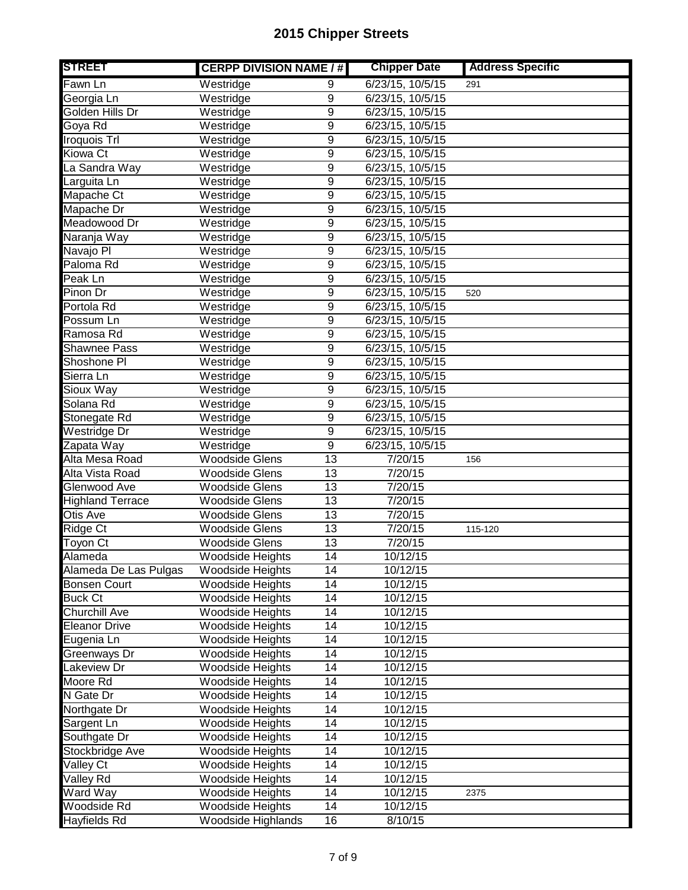| <b>STREET</b>                    | <b>CERPP DIVISION NAME / #</b> |                 | <b>Chipper Date</b> | <b>Address Specific</b> |
|----------------------------------|--------------------------------|-----------------|---------------------|-------------------------|
| Fawn Ln                          | Westridge                      | 9               | 6/23/15, 10/5/15    | 291                     |
| Georgia Ln                       | Westridge                      | 9               | 6/23/15, 10/5/15    |                         |
| Golden Hills Dr                  | Westridge                      | $\overline{9}$  | 6/23/15, 10/5/15    |                         |
| Goya Rd                          | Westridge                      | $\overline{9}$  | 6/23/15, 10/5/15    |                         |
| Iroquois Trl                     | Westridge                      | $\overline{9}$  | 6/23/15, 10/5/15    |                         |
| Kiowa Ct                         | Westridge                      | $\overline{9}$  | 6/23/15, 10/5/15    |                         |
| La Sandra Way                    | Westridge                      | $\overline{9}$  | 6/23/15, 10/5/15    |                         |
| Larguita Ln                      | Westridge                      | $\overline{9}$  | 6/23/15, 10/5/15    |                         |
| Mapache Ct                       | Westridge                      | $\overline{9}$  | 6/23/15, 10/5/15    |                         |
| Mapache Dr                       | Westridge                      | 9               | 6/23/15, 10/5/15    |                         |
| Meadowood Dr                     | Westridge                      | $\overline{9}$  | 6/23/15, 10/5/15    |                         |
| Naranja Way                      | $\overline{W}$ estridge        | 9               | 6/23/15, 10/5/15    |                         |
| Navajo <sub>PI</sub>             | Westridge                      | 9               | 6/23/15, 10/5/15    |                         |
| Paloma Rd                        | Westridge                      | 9               | 6/23/15, 10/5/15    |                         |
| Peak Ln                          | Westridge                      | $\overline{9}$  | 6/23/15, 10/5/15    |                         |
| Pinon Dr                         | Westridge                      | 9               | 6/23/15, 10/5/15    | 520                     |
| Portola Rd                       | Westridge                      | $\overline{9}$  | 6/23/15, 10/5/15    |                         |
| Possum Ln                        | Westridge                      | $\overline{9}$  | 6/23/15, 10/5/15    |                         |
| Ramosa Rd                        | Westridge                      | $\overline{9}$  | 6/23/15, 10/5/15    |                         |
| <b>Shawnee Pass</b>              | Westridge                      | $\overline{9}$  | 6/23/15, 10/5/15    |                         |
| Shoshone PI                      | Westridge                      | $\overline{9}$  | 6/23/15, 10/5/15    |                         |
| Sierra Ln                        | Westridge                      | $\overline{9}$  | 6/23/15, 10/5/15    |                         |
| Sioux Way                        | Westridge                      | $\overline{9}$  | 6/23/15, 10/5/15    |                         |
| Solana Rd                        | Westridge                      | $\overline{9}$  | 6/23/15, 10/5/15    |                         |
| Stonegate Rd                     | Westridge                      | 9               | 6/23/15, 10/5/15    |                         |
| Westridge Dr                     | Westridge                      | 9               | 6/23/15, 10/5/15    |                         |
| Zapata Way                       | Westridge                      | $\overline{9}$  | 6/23/15, 10/5/15    |                         |
| Alta Mesa Road                   | <b>Woodside Glens</b>          | $\overline{13}$ | 7/20/15             | 156                     |
| Alta Vista Road                  | <b>Woodside Glens</b>          | 13              | 7/20/15             |                         |
| Glenwood Ave                     | <b>Woodside Glens</b>          | 13              | 7/20/15             |                         |
| <b>Highland Terrace</b>          | <b>Woodside Glens</b>          | 13              | 7/20/15             |                         |
| Otis Ave                         | <b>Woodside Glens</b>          | 13              | 7/20/15             |                         |
| Ridge Ct                         | <b>Woodside Glens</b>          | 13              | 7/20/15             | 115-120                 |
| Toyon Ct                         | <b>Woodside Glens</b>          | 13              | 7/20/15             |                         |
| Alameda                          | <b>Woodside Heights</b>        | 14              | 10/12/15            |                         |
| Alameda De Las Pulgas            | Woodside Heights               | 14              | 10/12/15            |                         |
| <b>Bonsen Court</b>              | <b>Woodside Heights</b>        | $\overline{14}$ | 10/12/15            |                         |
| <b>Buck Ct</b>                   | <b>Woodside Heights</b>        | 14              | 10/12/15            |                         |
| <b>Churchill Ave</b>             | <b>Woodside Heights</b>        | 14              | 10/12/15            |                         |
| <b>Eleanor Drive</b>             | <b>Woodside Heights</b>        | 14              | 10/12/15            |                         |
| Eugenia Ln                       | Woodside Heights               | 14              | 10/12/15            |                         |
| Greenways Dr                     | <b>Woodside Heights</b>        | 14              | 10/12/15            |                         |
| Lakeview Dr                      | <b>Woodside Heights</b>        | 14              | 10/12/15            |                         |
| Moore Rd                         | Woodside Heights               | 14              | 10/12/15            |                         |
| N Gate Dr                        | <b>Woodside Heights</b>        | 14              | 10/12/15            |                         |
| Northgate Dr                     | Woodside Heights               | 14              | 10/12/15            |                         |
| Sargent Ln                       | Woodside Heights               | 14              | 10/12/15            |                         |
| Southgate Dr                     | <b>Woodside Heights</b>        | $\overline{14}$ | 10/12/15            |                         |
| Stockbridge Ave                  | Woodside Heights               | $\overline{14}$ | 10/12/15            |                         |
| Valley Ct                        | Woodside Heights               | 14              | 10/12/15            |                         |
| $\overline{\mathsf{Val}}$ ley Rd | <b>Woodside Heights</b>        | 14              | 10/12/15            |                         |
| Ward Way                         | Woodside Heights               | $\overline{14}$ | 10/12/15            | 2375                    |
| Woodside Rd                      | Woodside Heights               | 14              | 10/12/15            |                         |
| Hayfields Rd                     | <b>Woodside Highlands</b>      | 16              | 8/10/15             |                         |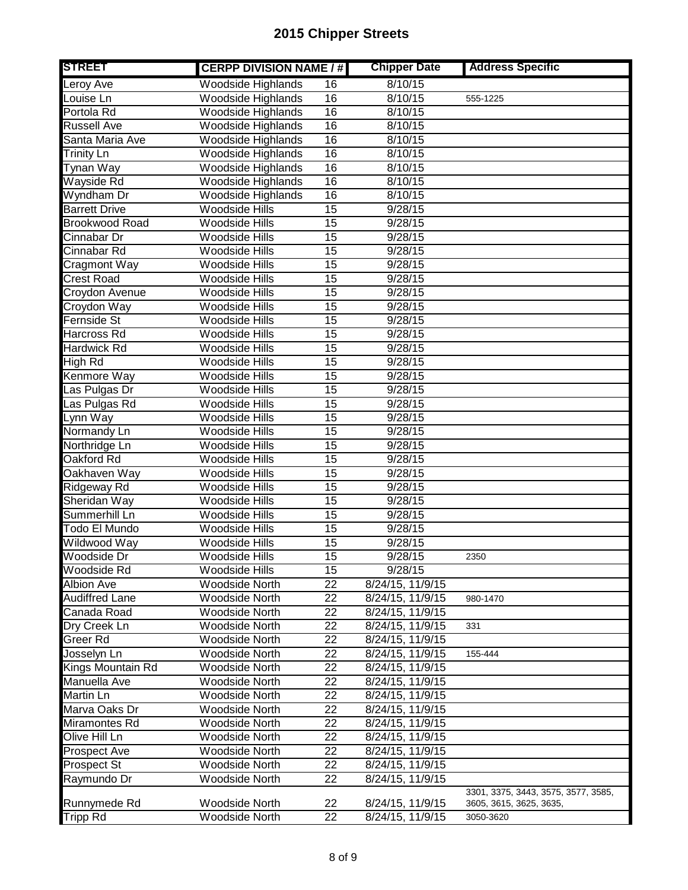| <b>STREET</b>         | <b>CERPP DIVISION NAME / #</b> |                 | <b>Chipper Date</b> | <b>Address Specific</b>                                        |
|-----------------------|--------------------------------|-----------------|---------------------|----------------------------------------------------------------|
| Leroy Ave             | Woodside Highlands             | 16              | 8/10/15             |                                                                |
| Louise Ln             | <b>Woodside Highlands</b>      | 16              | 8/10/15             | 555-1225                                                       |
| Portola Rd            | Woodside Highlands             | $\overline{16}$ | 8/10/15             |                                                                |
| <b>Russell Ave</b>    | <b>Woodside Highlands</b>      | $\overline{16}$ | 8/10/15             |                                                                |
| Santa Maria Ave       | Woodside Highlands             | $\overline{16}$ | 8/10/15             |                                                                |
| Trinity Ln            | Woodside Highlands             | $\overline{16}$ | 8/10/15             |                                                                |
| Tynan Way             | Woodside Highlands             | $\overline{16}$ | 8/10/15             |                                                                |
| Wayside Rd            | <b>Woodside Highlands</b>      | $\overline{16}$ | 8/10/15             |                                                                |
| Wyndham Dr            | <b>Woodside Highlands</b>      | 16              | 8/10/15             |                                                                |
| <b>Barrett Drive</b>  | <b>Woodside Hills</b>          | $\overline{15}$ | 9/28/15             |                                                                |
| Brookwood Road        | <b>Woodside Hills</b>          | 15              | 9/28/15             |                                                                |
| Cinnabar Dr           | Woodside Hills                 | 15              | 9/28/15             |                                                                |
| Cinnabar Rd           | <b>Woodside Hills</b>          | 15              | 9/28/15             |                                                                |
| <b>Cragmont Way</b>   | <b>Woodside Hills</b>          | $\overline{15}$ | 9/28/15             |                                                                |
| <b>Crest Road</b>     | Woodside Hills                 | $\overline{15}$ | 9/28/15             |                                                                |
| Croydon Avenue        | <b>Woodside Hills</b>          | $\overline{15}$ | 9/28/15             |                                                                |
| Croydon Way           | Woodside Hills                 | $\overline{15}$ | 9/28/15             |                                                                |
| Fernside St           | <b>Woodside Hills</b>          | 15              | 9/28/15             |                                                                |
| Harcross Rd           | <b>Woodside Hills</b>          | $\overline{15}$ | 9/28/15             |                                                                |
| Hardwick Rd           | Woodside Hills                 | 15              | 9/28/15             |                                                                |
| High Rd               | Woodside Hills                 | 15              | 9/28/15             |                                                                |
| Kenmore Way           | <b>Woodside Hills</b>          | $\overline{15}$ | 9/28/15             |                                                                |
| Las Pulgas Dr         | <b>Woodside Hills</b>          | $\overline{15}$ | 9/28/15             |                                                                |
| Las Pulgas Rd         | <b>Woodside Hills</b>          | $\overline{15}$ | 9/28/15             |                                                                |
| Lynn Way              | Woodside Hills                 | $\overline{15}$ | 9/28/15             |                                                                |
| Normandy Ln           | <b>Woodside Hills</b>          | $\overline{15}$ | 9/28/15             |                                                                |
| Northridge Ln         | Woodside Hills                 | 15              | 9/28/15             |                                                                |
| Oakford Rd            | Woodside Hills                 | 15              | 9/28/15             |                                                                |
| Oakhaven Way          | Woodside Hills                 | 15              | 9/28/15             |                                                                |
| Ridgeway Rd           | Woodside Hills                 | 15              | 9/28/15             |                                                                |
| Sheridan Way          | Woodside Hills                 | 15              | 9/28/15             |                                                                |
| Summerhill Ln         | Woodside Hills                 | 15              | 9/28/15             |                                                                |
| Todo El Mundo         | Woodside Hills                 | 15              | 9/28/15             |                                                                |
| Wildwood Way          | Woodside Hills                 | 15              | 9/28/15             |                                                                |
| Woodside Dr           | Woodside Hills                 | $\overline{15}$ | 9/28/15             | 2350                                                           |
| Woodside Rd           | Woodside Hills                 | 15              | 9/28/15             |                                                                |
| <b>Albion Ave</b>     | Woodside North                 | $\overline{22}$ | 8/24/15, 11/9/15    |                                                                |
| <b>Audiffred Lane</b> | <b>Woodside North</b>          | 22              | 8/24/15, 11/9/15    | 980-1470                                                       |
| Canada Road           | Woodside North                 | 22              | 8/24/15, 11/9/15    |                                                                |
| Dry Creek Ln          | <b>Woodside North</b>          | 22              | 8/24/15, 11/9/15    | 331                                                            |
| Greer Rd              | <b>Woodside North</b>          | 22              | 8/24/15, 11/9/15    |                                                                |
| Josselyn Ln           | Woodside North                 | 22              | 8/24/15, 11/9/15    | 155-444                                                        |
| Kings Mountain Rd     | Woodside North                 | 22              | 8/24/15, 11/9/15    |                                                                |
| Manuella Ave          | <b>Woodside North</b>          | 22              | 8/24/15, 11/9/15    |                                                                |
| Martin Ln             | Woodside North                 | 22              | 8/24/15, 11/9/15    |                                                                |
| Marva Oaks Dr         | <b>Woodside North</b>          | 22              | 8/24/15, 11/9/15    |                                                                |
| Miramontes Rd         | <b>Woodside North</b>          | $\overline{22}$ | 8/24/15, 11/9/15    |                                                                |
| Olive Hill Ln         | <b>Woodside North</b>          | $\overline{22}$ | 8/24/15, 11/9/15    |                                                                |
| <b>Prospect Ave</b>   | Woodside North                 | $\overline{22}$ | 8/24/15, 11/9/15    |                                                                |
| Prospect St           | <b>Woodside North</b>          | 22              | 8/24/15, 11/9/15    |                                                                |
| Raymundo Dr           | Woodside North                 | $\overline{22}$ | 8/24/15, 11/9/15    |                                                                |
| Runnymede Rd          | <b>Woodside North</b>          | 22              | 8/24/15, 11/9/15    | 3301, 3375, 3443, 3575, 3577, 3585,<br>3605, 3615, 3625, 3635, |
| Tripp Rd              | Woodside North                 | $\overline{22}$ | 8/24/15, 11/9/15    | 3050-3620                                                      |